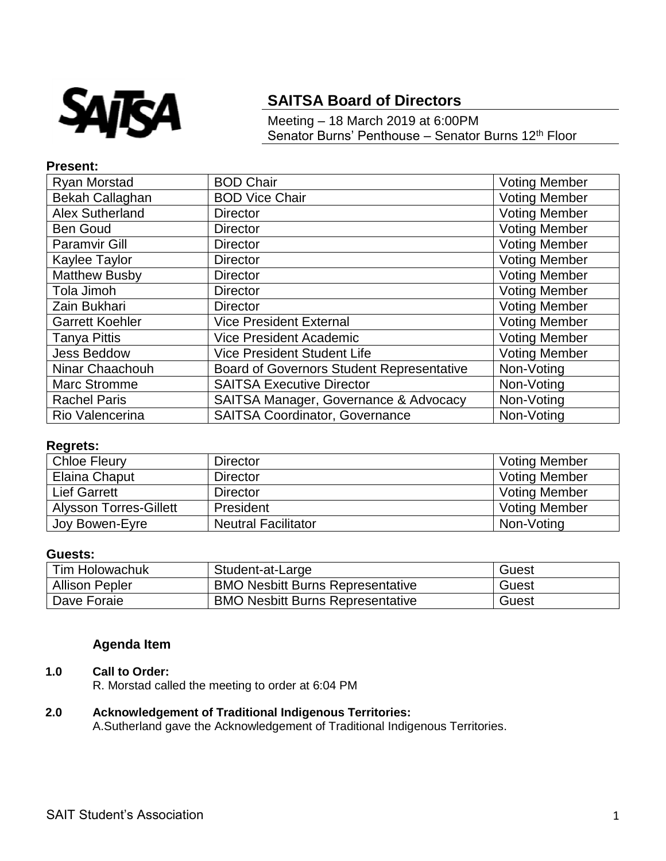

# **SAITSA Board of Directors**

Meeting – 18 March 2019 at 6:00PM Senator Burns' Penthouse – Senator Burns 12<sup>th</sup> Floor

## **Present:**

| Ryan Morstad           | <b>BOD Chair</b>                                 | <b>Voting Member</b> |
|------------------------|--------------------------------------------------|----------------------|
| Bekah Callaghan        | <b>BOD Vice Chair</b>                            | <b>Voting Member</b> |
| Alex Sutherland        | <b>Director</b>                                  | <b>Voting Member</b> |
| <b>Ben Goud</b>        | <b>Director</b>                                  | <b>Voting Member</b> |
| <b>Paramvir Gill</b>   | <b>Director</b>                                  | <b>Voting Member</b> |
| Kaylee Taylor          | <b>Director</b>                                  | <b>Voting Member</b> |
| <b>Matthew Busby</b>   | <b>Director</b>                                  | <b>Voting Member</b> |
| Tola Jimoh             | <b>Director</b>                                  | <b>Voting Member</b> |
| Zain Bukhari           | <b>Director</b>                                  | <b>Voting Member</b> |
| <b>Garrett Koehler</b> | <b>Vice President External</b>                   | <b>Voting Member</b> |
| Tanya Pittis           | Vice President Academic                          | <b>Voting Member</b> |
| <b>Jess Beddow</b>     | <b>Vice President Student Life</b>               | <b>Voting Member</b> |
| Ninar Chaachouh        | <b>Board of Governors Student Representative</b> | Non-Voting           |
| <b>Marc Stromme</b>    | <b>SAITSA Executive Director</b>                 | Non-Voting           |
| <b>Rachel Paris</b>    | SAITSA Manager, Governance & Advocacy            | Non-Voting           |
| Rio Valencerina        | <b>SAITSA Coordinator, Governance</b>            | Non-Voting           |

# **Regrets:**

| <b>Chloe Fleury</b>           | <b>Director</b>            | <b>Voting Member</b> |
|-------------------------------|----------------------------|----------------------|
| Elaina Chaput                 | <b>Director</b>            | <b>Voting Member</b> |
| <b>Lief Garrett</b>           | <b>Director</b>            | <b>Voting Member</b> |
| <b>Alysson Torres-Gillett</b> | President                  | <b>Voting Member</b> |
| Joy Bowen-Eyre                | <b>Neutral Facilitator</b> | Non-Voting           |

#### **Guests:**

| <b>Tim Holowachuk</b> | Student-at-Large                        | Guest |
|-----------------------|-----------------------------------------|-------|
| <b>Allison Pepler</b> | <b>BMO Nesbitt Burns Representative</b> | Guest |
| Dave Foraie           | <b>BMO Nesbitt Burns Representative</b> | Guest |

# **Agenda Item**

# **1.0 Call to Order:**

R. Morstad called the meeting to order at 6:04 PM

# **2.0 Acknowledgement of Traditional Indigenous Territories:**

A.Sutherland gave the Acknowledgement of Traditional Indigenous Territories.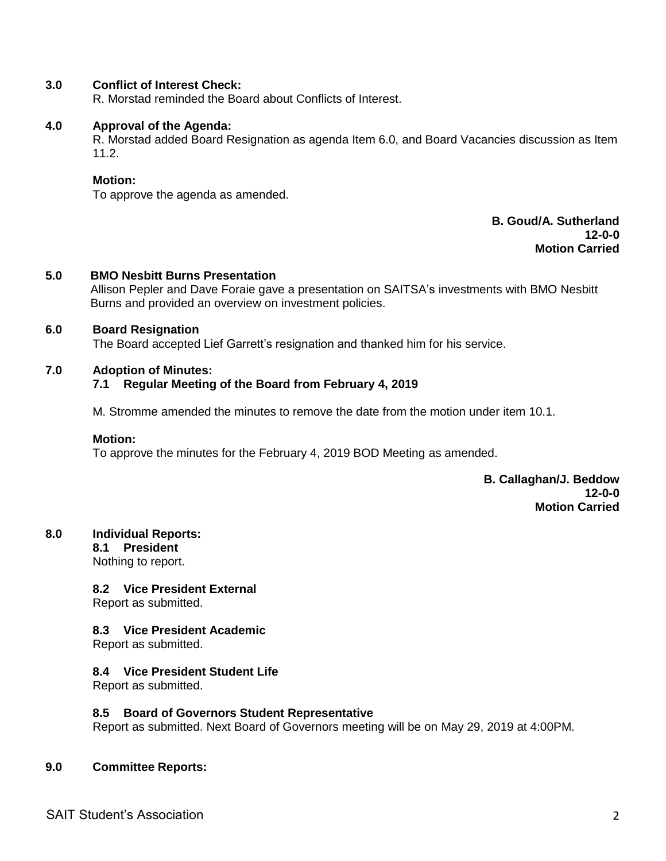# **3.0 Conflict of Interest Check:**

R. Morstad reminded the Board about Conflicts of Interest.

#### **4.0 Approval of the Agenda:**

R. Morstad added Board Resignation as agenda Item 6.0, and Board Vacancies discussion as Item 11.2.

#### **Motion:**

To approve the agenda as amended.

# **B. Goud/A. Sutherland 12-0-0 Motion Carried**

# **5.0 BMO Nesbitt Burns Presentation**

Allison Pepler and Dave Foraie gave a presentation on SAITSA's investments with BMO Nesbitt Burns and provided an overview on investment policies.

#### **6.0 Board Resignation**

The Board accepted Lief Garrett's resignation and thanked him for his service.

#### **7.0 Adoption of Minutes:**

# **7.1 Regular Meeting of the Board from February 4, 2019**

M. Stromme amended the minutes to remove the date from the motion under item 10.1.

#### **Motion:**

To approve the minutes for the February 4, 2019 BOD Meeting as amended.

**B. Callaghan/J. Beddow 12-0-0 Motion Carried**

#### **8.0 Individual Reports:**

**8.1 President**

Nothing to report.

#### **8.2 Vice President External**

Report as submitted.

#### **8.3 Vice President Academic**

Report as submitted.

# **8.4 Vice President Student Life**

Report as submitted.

#### **8.5 Board of Governors Student Representative**

Report as submitted. Next Board of Governors meeting will be on May 29, 2019 at 4:00PM.

#### **9.0 Committee Reports:**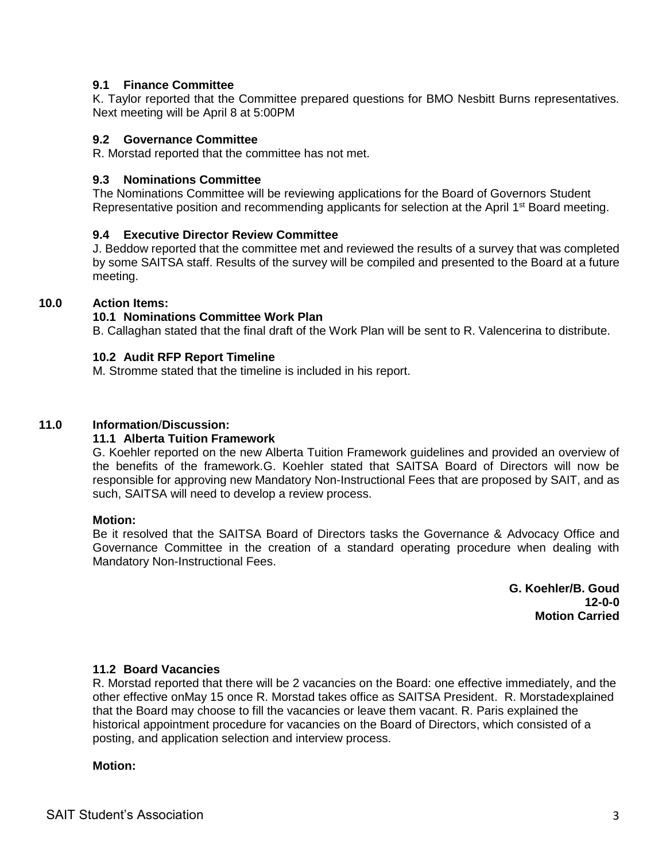# **9.1 Finance Committee**

K. Taylor reported that the Committee prepared questions for BMO Nesbitt Burns representatives. Next meeting will be April 8 at 5:00PM

#### **9.2 Governance Committee**

R. Morstad reported that the committee has not met.

#### **9.3 Nominations Committee**

The Nominations Committee will be reviewing applications for the Board of Governors Student Representative position and recommending applicants for selection at the April 1<sup>st</sup> Board meeting.

## **9.4 Executive Director Review Committee**

J. Beddow reported that the committee met and reviewed the results of a survey that was completed by some SAITSA staff. Results of the survey will be compiled and presented to the Board at a future meeting.

## **10.0 Action Items:**

# **10.1 Nominations Committee Work Plan**

B. Callaghan stated that the final draft of the Work Plan will be sent to R. Valencerina to distribute.

## **10.2 Audit RFP Report Timeline**

M. Stromme stated that the timeline is included in his report.

## **11.0 Information**/**Discussion:**

#### **11.1 Alberta Tuition Framework**

G. Koehler reported on the new Alberta Tuition Framework guidelines and provided an overview of the benefits of the framework.G. Koehler stated that SAITSA Board of Directors will now be responsible for approving new Mandatory Non-Instructional Fees that are proposed by SAIT, and as such, SAITSA will need to develop a review process.

#### **Motion:**

Be it resolved that the SAITSA Board of Directors tasks the Governance & Advocacy Office and Governance Committee in the creation of a standard operating procedure when dealing with Mandatory Non-Instructional Fees.

> **G. Koehler/B. Goud 12-0-0 Motion Carried**

#### **11.2 Board Vacancies**

R. Morstad reported that there will be 2 vacancies on the Board: one effective immediately, and the other effective onMay 15 once R. Morstad takes office as SAITSA President. R. Morstadexplained that the Board may choose to fill the vacancies or leave them vacant. R. Paris explained the historical appointment procedure for vacancies on the Board of Directors, which consisted of a posting, and application selection and interview process.

#### **Motion:**